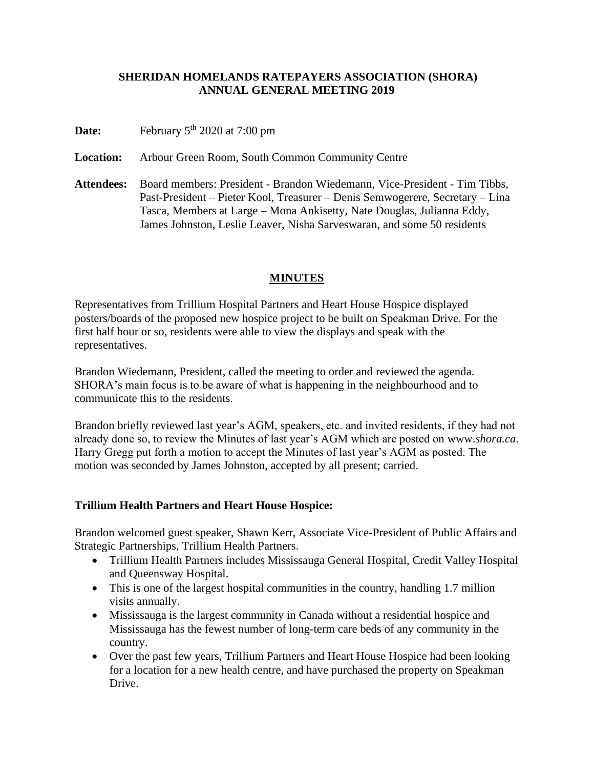#### **SHERIDAN HOMELANDS RATEPAYERS ASSOCIATION (SHORA) ANNUAL GENERAL MEETING 2019**

**Date:** February 5<sup>th</sup> 2020 at 7:00 pm

**Location:** Arbour Green Room, South Common Community Centre

**Attendees:** Board members: President - Brandon Wiedemann, Vice-President - Tim Tibbs, Past-President – Pieter Kool, Treasurer – Denis Semwogerere, Secretary – Lina Tasca, Members at Large – Mona Ankisetty, Nate Douglas, Julianna Eddy, James Johnston, Leslie Leaver, Nisha Sarveswaran, and some 50 residents

### **MINUTES**

Representatives from Trillium Hospital Partners and Heart House Hospice displayed posters/boards of the proposed new hospice project to be built on Speakman Drive. For the first half hour or so, residents were able to view the displays and speak with the representatives.

Brandon Wiedemann, President, called the meeting to order and reviewed the agenda. SHORA's main focus is to be aware of what is happening in the neighbourhood and to communicate this to the residents.

Brandon briefly reviewed last year's AGM, speakers, etc. and invited residents, if they had not already done so, to review the Minutes of last year's AGM which are posted on www.*shora.ca*. Harry Gregg put forth a motion to accept the Minutes of last year's AGM as posted. The motion was seconded by James Johnston, accepted by all present; carried.

#### **Trillium Health Partners and Heart House Hospice:**

Brandon welcomed guest speaker, Shawn Kerr, Associate Vice-President of Public Affairs and Strategic Partnerships, Trillium Health Partners.

- Trillium Health Partners includes Mississauga General Hospital, Credit Valley Hospital and Queensway Hospital.
- This is one of the largest hospital communities in the country, handling 1.7 million visits annually.
- Mississauga is the largest community in Canada without a residential hospice and Mississauga has the fewest number of long-term care beds of any community in the country.
- Over the past few years, Trillium Partners and Heart House Hospice had been looking for a location for a new health centre, and have purchased the property on Speakman Drive.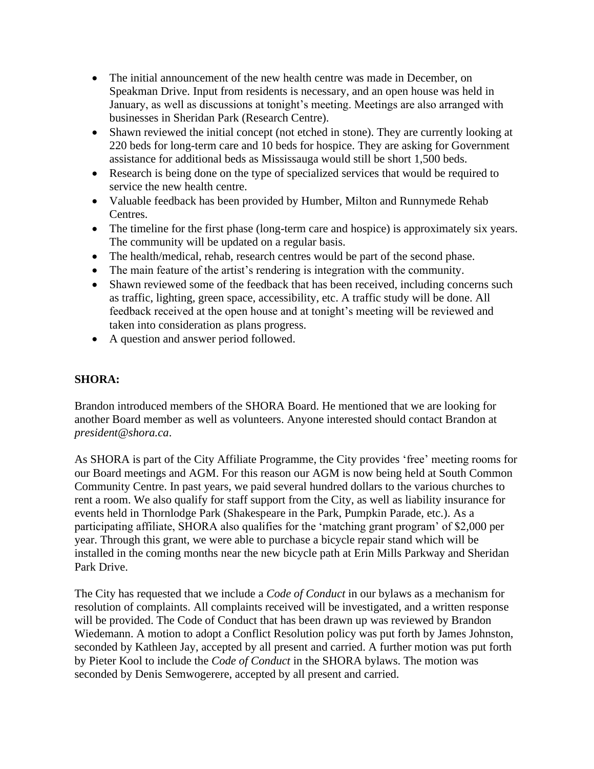- The initial announcement of the new health centre was made in December, on Speakman Drive. Input from residents is necessary, and an open house was held in January, as well as discussions at tonight's meeting. Meetings are also arranged with businesses in Sheridan Park (Research Centre).
- Shawn reviewed the initial concept (not etched in stone). They are currently looking at 220 beds for long-term care and 10 beds for hospice. They are asking for Government assistance for additional beds as Mississauga would still be short 1,500 beds.
- Research is being done on the type of specialized services that would be required to service the new health centre.
- Valuable feedback has been provided by Humber, Milton and Runnymede Rehab Centres.
- The timeline for the first phase (long-term care and hospice) is approximately six years. The community will be updated on a regular basis.
- The health/medical, rehab, research centres would be part of the second phase.
- The main feature of the artist's rendering is integration with the community.
- Shawn reviewed some of the feedback that has been received, including concerns such as traffic, lighting, green space, accessibility, etc. A traffic study will be done. All feedback received at the open house and at tonight's meeting will be reviewed and taken into consideration as plans progress.
- A question and answer period followed.

### **SHORA:**

Brandon introduced members of the SHORA Board. He mentioned that we are looking for another Board member as well as volunteers. Anyone interested should contact Brandon at *president@shora.ca*.

As SHORA is part of the City Affiliate Programme, the City provides 'free' meeting rooms for our Board meetings and AGM. For this reason our AGM is now being held at South Common Community Centre. In past years, we paid several hundred dollars to the various churches to rent a room. We also qualify for staff support from the City, as well as liability insurance for events held in Thornlodge Park (Shakespeare in the Park, Pumpkin Parade, etc.). As a participating affiliate, SHORA also qualifies for the 'matching grant program' of \$2,000 per year. Through this grant, we were able to purchase a bicycle repair stand which will be installed in the coming months near the new bicycle path at Erin Mills Parkway and Sheridan Park Drive.

The City has requested that we include a *Code of Conduct* in our bylaws as a mechanism for resolution of complaints. All complaints received will be investigated, and a written response will be provided. The Code of Conduct that has been drawn up was reviewed by Brandon Wiedemann. A motion to adopt a Conflict Resolution policy was put forth by James Johnston, seconded by Kathleen Jay, accepted by all present and carried. A further motion was put forth by Pieter Kool to include the *Code of Conduct* in the SHORA bylaws. The motion was seconded by Denis Semwogerere, accepted by all present and carried.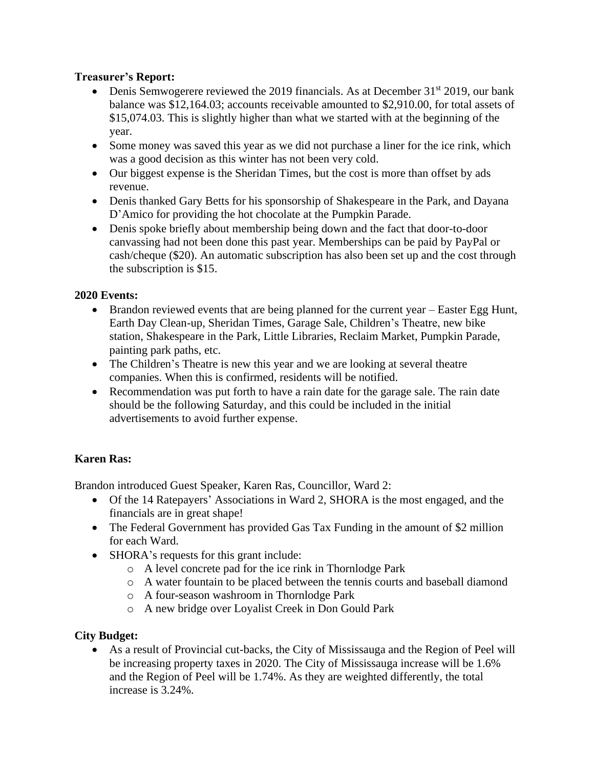## **Treasurer's Report:**

- Denis Semwogerere reviewed the 2019 financials. As at December  $31<sup>st</sup>$  2019, our bank balance was \$12,164.03; accounts receivable amounted to \$2,910.00, for total assets of \$15,074.03. This is slightly higher than what we started with at the beginning of the year.
- Some money was saved this year as we did not purchase a liner for the ice rink, which was a good decision as this winter has not been very cold.
- Our biggest expense is the Sheridan Times, but the cost is more than offset by ads revenue.
- Denis thanked Gary Betts for his sponsorship of Shakespeare in the Park, and Dayana D'Amico for providing the hot chocolate at the Pumpkin Parade.
- Denis spoke briefly about membership being down and the fact that door-to-door canvassing had not been done this past year. Memberships can be paid by PayPal or cash/cheque (\$20). An automatic subscription has also been set up and the cost through the subscription is \$15.

## **2020 Events:**

- Brandon reviewed events that are being planned for the current year Easter Egg Hunt, Earth Day Clean-up, Sheridan Times, Garage Sale, Children's Theatre, new bike station, Shakespeare in the Park, Little Libraries, Reclaim Market, Pumpkin Parade, painting park paths, etc.
- The Children's Theatre is new this year and we are looking at several theatre companies. When this is confirmed, residents will be notified.
- Recommendation was put forth to have a rain date for the garage sale. The rain date should be the following Saturday, and this could be included in the initial advertisements to avoid further expense.

# **Karen Ras:**

Brandon introduced Guest Speaker, Karen Ras, Councillor, Ward 2:

- Of the 14 Ratepayers' Associations in Ward 2, SHORA is the most engaged, and the financials are in great shape!
- The Federal Government has provided Gas Tax Funding in the amount of \$2 million for each Ward.
- SHORA's requests for this grant include:
	- o A level concrete pad for the ice rink in Thornlodge Park
	- o A water fountain to be placed between the tennis courts and baseball diamond
	- o A four-season washroom in Thornlodge Park
	- o A new bridge over Loyalist Creek in Don Gould Park

### **City Budget:**

• As a result of Provincial cut-backs, the City of Mississauga and the Region of Peel will be increasing property taxes in 2020. The City of Mississauga increase will be 1.6% and the Region of Peel will be 1.74%. As they are weighted differently, the total increase is 3.24%.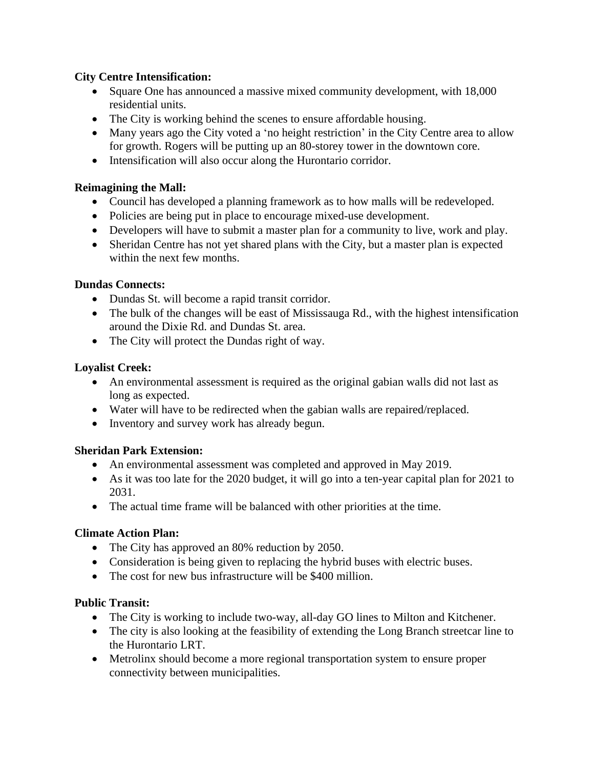### **City Centre Intensification:**

- Square One has announced a massive mixed community development, with 18,000 residential units.
- The City is working behind the scenes to ensure affordable housing.
- Many years ago the City voted a 'no height restriction' in the City Centre area to allow for growth. Rogers will be putting up an 80-storey tower in the downtown core.
- Intensification will also occur along the Hurontario corridor.

# **Reimagining the Mall:**

- Council has developed a planning framework as to how malls will be redeveloped.
- Policies are being put in place to encourage mixed-use development.
- Developers will have to submit a master plan for a community to live, work and play.
- Sheridan Centre has not yet shared plans with the City, but a master plan is expected within the next few months.

### **Dundas Connects:**

- Dundas St. will become a rapid transit corridor.
- The bulk of the changes will be east of Mississauga Rd., with the highest intensification around the Dixie Rd. and Dundas St. area.
- The City will protect the Dundas right of way.

## **Loyalist Creek:**

- An environmental assessment is required as the original gabian walls did not last as long as expected.
- Water will have to be redirected when the gabian walls are repaired/replaced.
- Inventory and survey work has already begun.

### **Sheridan Park Extension:**

- An environmental assessment was completed and approved in May 2019.
- As it was too late for the 2020 budget, it will go into a ten-year capital plan for 2021 to 2031.
- The actual time frame will be balanced with other priorities at the time.

# **Climate Action Plan:**

- The City has approved an 80% reduction by 2050.
- Consideration is being given to replacing the hybrid buses with electric buses.
- The cost for new bus infrastructure will be \$400 million.

# **Public Transit:**

- The City is working to include two-way, all-day GO lines to Milton and Kitchener.
- The city is also looking at the feasibility of extending the Long Branch streetcar line to the Hurontario LRT.
- Metrolinx should become a more regional transportation system to ensure proper connectivity between municipalities.